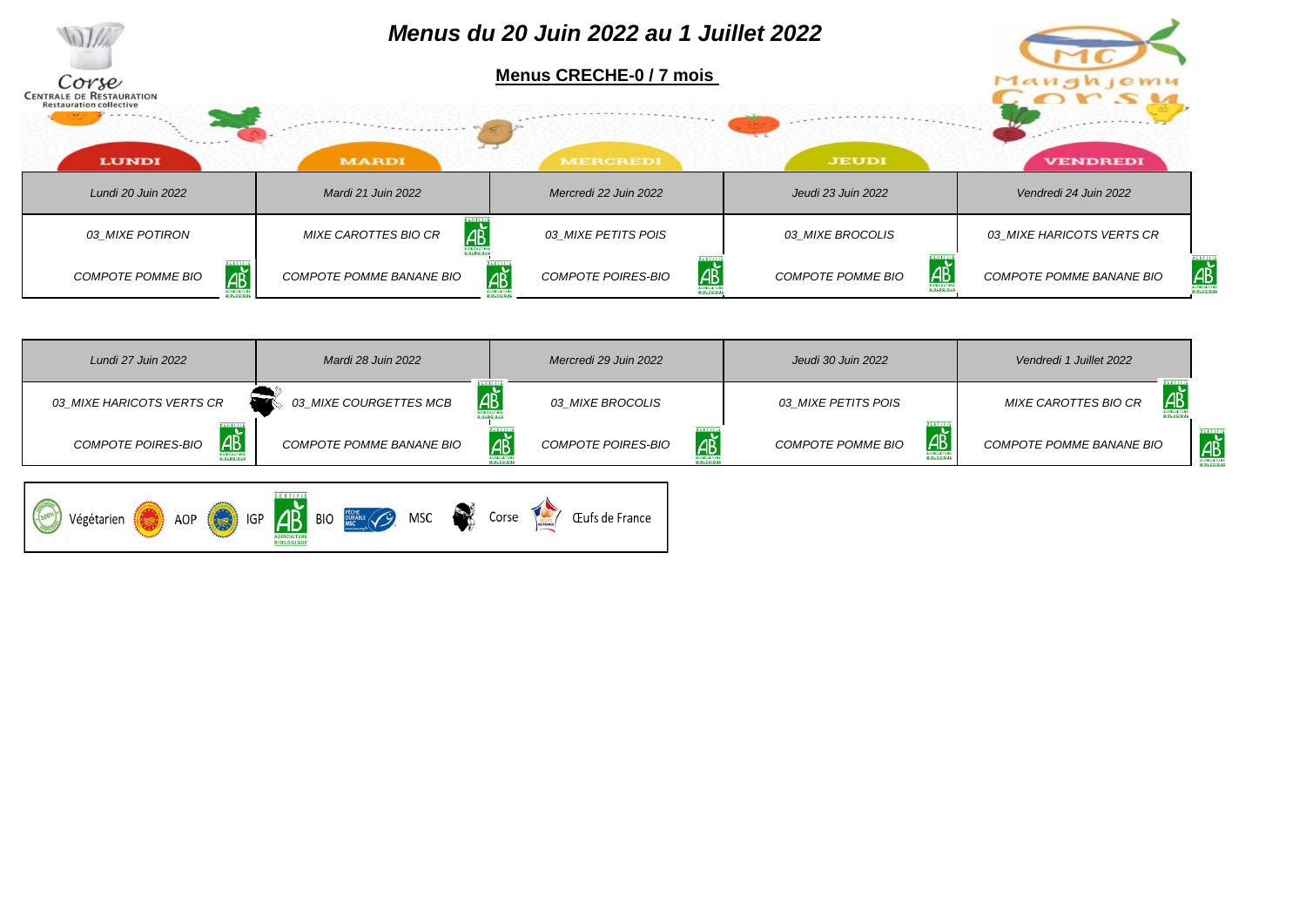

| Lundi 27 Juin 2022                        | Mardi 28 Juin 2022           | Mercredi 29 Juin 2022            | Jeudi 30 Juin 2022                                | Vendredi 1 Juillet 2022    |                |
|-------------------------------------------|------------------------------|----------------------------------|---------------------------------------------------|----------------------------|----------------|
| 03 MIXE HARICOTS VERTS CR                 | AB<br>03_MIXE COURGETTES MCB | 03 MIXE BROCOLIS                 | 03 MIXE PETITS POIS                               | AB<br>MIXE CAROTTES BIO CR |                |
| <b>AP</b><br>COMPOTE POIRES-BIO           | COMPOTE POMME BANANE BIO     | <u>дъ̀</u><br>COMPOTE POIRES-BIO | <u>АŘ</u><br>COMPOTE POMME BIO<br><b>GRICULTU</b> | COMPOTE POMME BANANE BIO   | $\overline{A}$ |
| $\left  \right $ IGP<br>Végétarien<br>AOP | AB BIO RECHEL (C) MSC        | Corse<br>Œufs de France          |                                                   |                            |                |

**AGRICULTURE**<br>BIOLOGIQUE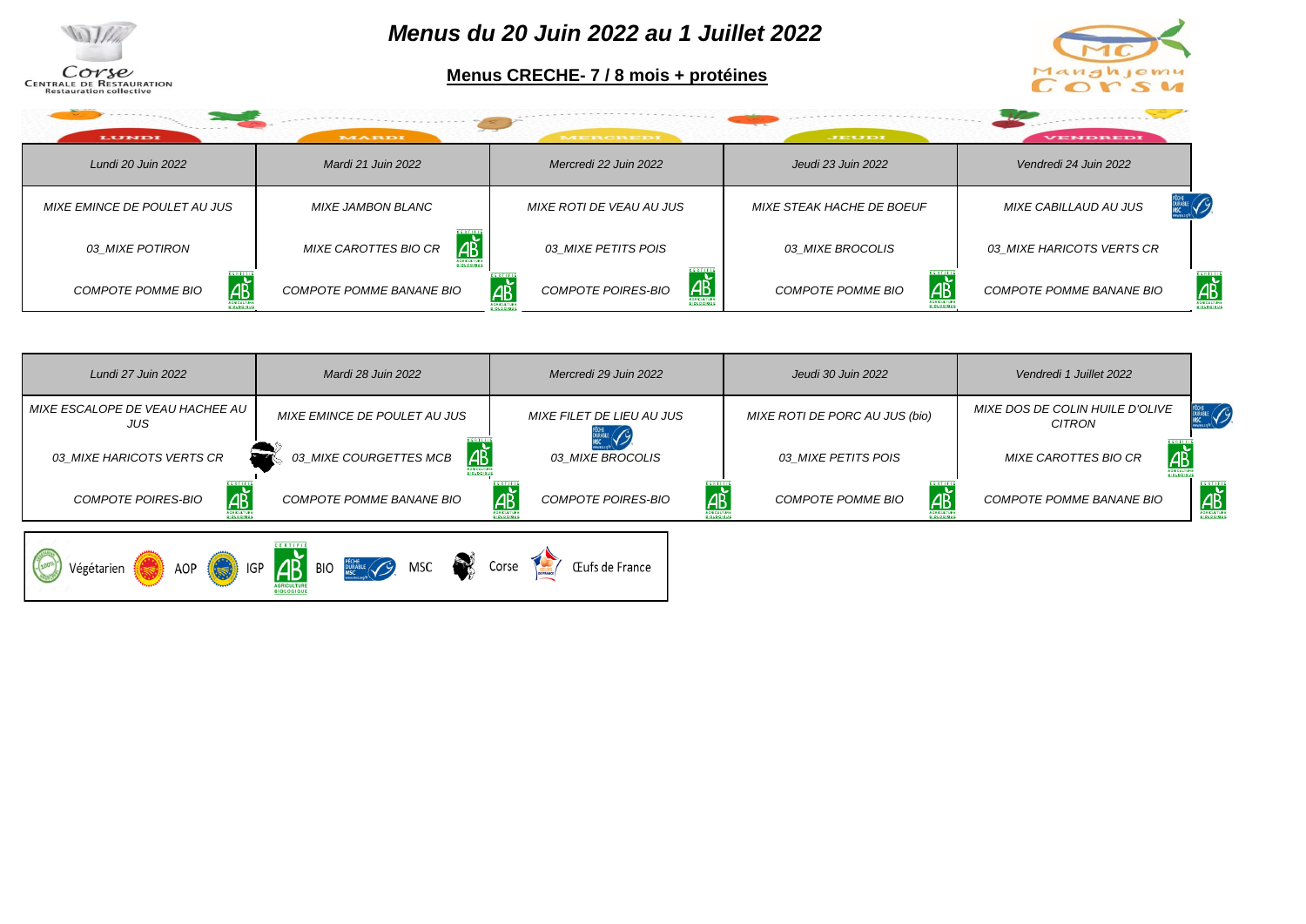

*Menus du 20 Juin 2022 au 1 Juillet 2022*

**Menus CRECHE- 7 / 8 mois + protéines**



| LUNDI                        | <b>MARDI</b>                      | MERCREDI                                     | JEUDI                     | <b>VENDREDI</b>                         |
|------------------------------|-----------------------------------|----------------------------------------------|---------------------------|-----------------------------------------|
| Lundi 20 Juin 2022           | Mardi 21 Juin 2022                | Mercredi 22 Juin 2022                        | Jeudi 23 Juin 2022        | Vendredi 24 Juin 2022                   |
| MIXE EMINCE DE POULET AU JUS | MIXE JAMBON BLANC                 | MIXE ROTI DE VEAU AU JUS                     | MIXE STEAK HACHE DE BOEUF | <b>DURABLE</b><br>MIXE CABILLAUD AU JUS |
| 03 MIXE POTIRON              | AB<br><b>MIXE CAROTTES BIO CR</b> | 03 MIXE PETITS POIS                          | 03 MIXE BROCOLIS          | 03 MIXE HARICOTS VERTS CR               |
| АŘ<br>COMPOTE POMME BIO      | COMPOTE POMME BANANE BIO          | <u>дъ</u><br><u>дв</u><br>COMPOTE POIRES-BIO | AВ<br>COMPOTE POMME BIO   | АŘ<br>COMPOTE POMME BANANE BIO          |

| Lundi 27 Juin 2022                     | Mardi 28 Juin 2022           | Mercredi 29 Juin 2022          | Jeudi 30 Juin 2022             | Vendredi 1 Juillet 2022                          |                                           |
|----------------------------------------|------------------------------|--------------------------------|--------------------------------|--------------------------------------------------|-------------------------------------------|
| MIXE ESCALOPE DE VEAU HACHEE AU<br>JUS | MIXE EMINCE DE POULET AU JUS | MIXE FILET DE LIEU AU JUS      | MIXE ROTI DE PORC AU JUS (bio) | <b>MIXE DOS DE COLIN HUILE D'OLIVE</b><br>CITRON | PECHE /                                   |
| 03 MIXE HARICOTS VERTS CR              | AB<br>03_MIXE COURGETTES MCB | 03 MIXE BROCOLIS               | <i>03 MIXE PETITS POIS</i>     | AP<br><b>MIXE CAROTTES BIO CR</b>                |                                           |
| <b>AB</b><br>COMPOTE POIRES-BIO        | COMPOTE POMME BANANE BIO     | ab<br>AB<br>COMPOTE POIRES-BIO | AB<br><b>COMPOTE POMME BIO</b> | COMPOTE POMME BANANE BIO                         | <b>CERTIFIE</b><br>AB<br><b>SIDLDGIOU</b> |
|                                        |                              |                                |                                |                                                  |                                           |

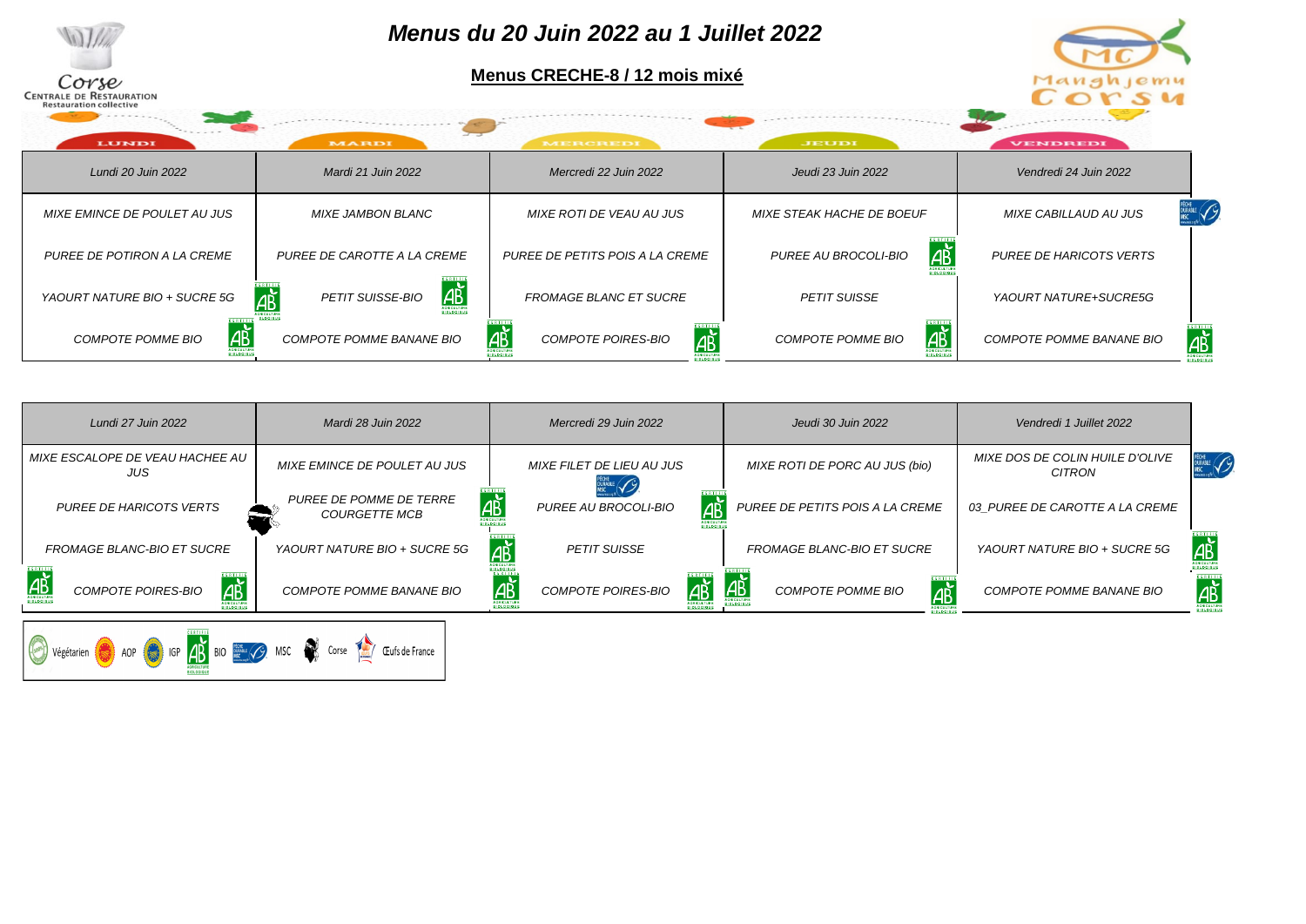| Corse<br><b>CENTRALE DE RESTAURATION</b><br><b>Restauration collective</b><br><b>LUNDI</b> | MARDI                                                   | Menus du 20 Juin 2022 au 1 Juillet 2022<br>Menus CRECHE-8 / 12 mois mixé<br><b>MERCREDI</b> | JEUDI                                               | Manghjemu<br>CONS4<br><b>VENDREDI</b>                              |
|--------------------------------------------------------------------------------------------|---------------------------------------------------------|---------------------------------------------------------------------------------------------|-----------------------------------------------------|--------------------------------------------------------------------|
| Lundi 20 Juin 2022                                                                         | Mardi 21 Juin 2022                                      | Mercredi 22 Juin 2022                                                                       | Jeudi 23 Juin 2022                                  | Vendredi 24 Juin 2022                                              |
| MIXE EMINCE DE POULET AU JUS                                                               | MIXE JAMBON BLANC                                       | MIXE ROTI DE VEAU AU JUS                                                                    | MIXE STEAK HACHE DE BOEUF                           | MIXE CABILLAUD AU JUS                                              |
| PUREE DE POTIRON A LA CREME                                                                | PUREE DE CAROTTE A LA CREME                             | PUREE DE PETITS POIS A LA CREME                                                             | ΙΑĎ<br>PUREE AU BROCOLI-BIO                         | <b>PUREE DE HARICOTS VERTS</b>                                     |
| YAOURT NATURE BIO + SUCRE 5G                                                               | AP<br>АB<br><b>PETIT SUISSE-BIO</b><br><b>CRICULTUR</b> | <b>FROMAGE BLANC ET SUCRE</b>                                                               | <b>PETIT SUISSE</b>                                 | YAOURT NATURE+SUCRE5G                                              |
| <b>AB</b><br><b>COMPOTE POMME BIO</b><br><b>CRICULTURE</b>                                 | COMPOTE POMME BANANE BIO                                | <u>ДŘ</u><br><b>COMPOTE POIRES-BIO</b><br>AB                                                | $F$ <b>R</b> $T$ $F$ $F$<br>AB<br>COMPOTE POMME BIO | <b>SERTIF</b><br>$\overrightarrow{AB}$<br>COMPOTE POMME BANANE BIO |

| Lundi 27 Juin 2022                                       | Mardi 28 Juin 2022                              | Mercredi 29 Juin 2022                   | Jeudi 30 Juin 2022                                | Vendredi 1 Juillet 2022                          |                          |
|----------------------------------------------------------|-------------------------------------------------|-----------------------------------------|---------------------------------------------------|--------------------------------------------------|--------------------------|
| MIXE ESCALOPE DE VEAU HACHEE AU<br>JUS                   | MIXE EMINCE DE POULET AU JUS                    | MIXE FILET DE LIEU AU JUS               | MIXE ROTI DE PORC AU JUS (bio)                    | <b>MIXE DOS DE COLIN HUILE D'OLIVE</b><br>CITRON | Pèche<br>Durable<br>MSC  |
| <b>PUREE DE HARICOTS VERTS</b>                           | PUREE DE POMME DE TERRE<br><b>COURGETTE MCB</b> | АŘ<br><b>AB</b><br>PUREE AU BROCOLI-BIO | PUREE DE PETITS POIS A LA CREME                   | 03 PUREE DE CAROTTE A LA CREME                   |                          |
| FROMAGE BLANC-BIO ET SUCRE                               | YAOURT NATURE BIO + SUCRE 5G                    | <b>A</b><br><b>PETIT SUISSE</b>         | <b>FROMAGE BLANC-BIO ET SUCRE</b>                 | YAOURT NATURE BIO + SUCRE 5G                     | AB                       |
| $\overrightarrow{AB}$<br>АĎ<br><b>COMPOTE POIRES-BIO</b> | COMPOTE POMME BANANE BIO                        | IÆĎ<br><b>COMPOTE POIRES-BIO</b>        | <u>дъ</u><br>⊿,<br>∕l<br><b>COMPOTE POMME BIO</b> | COMPOTE POMME BANANE BIO                         | ∣АŘ<br><b>SIDLDGIQUE</b> |

Végétarien (C) AOP (C) IGP <mark>4B</mark> BIO **BELOVEMENT CONTRACTE (CLU**s de France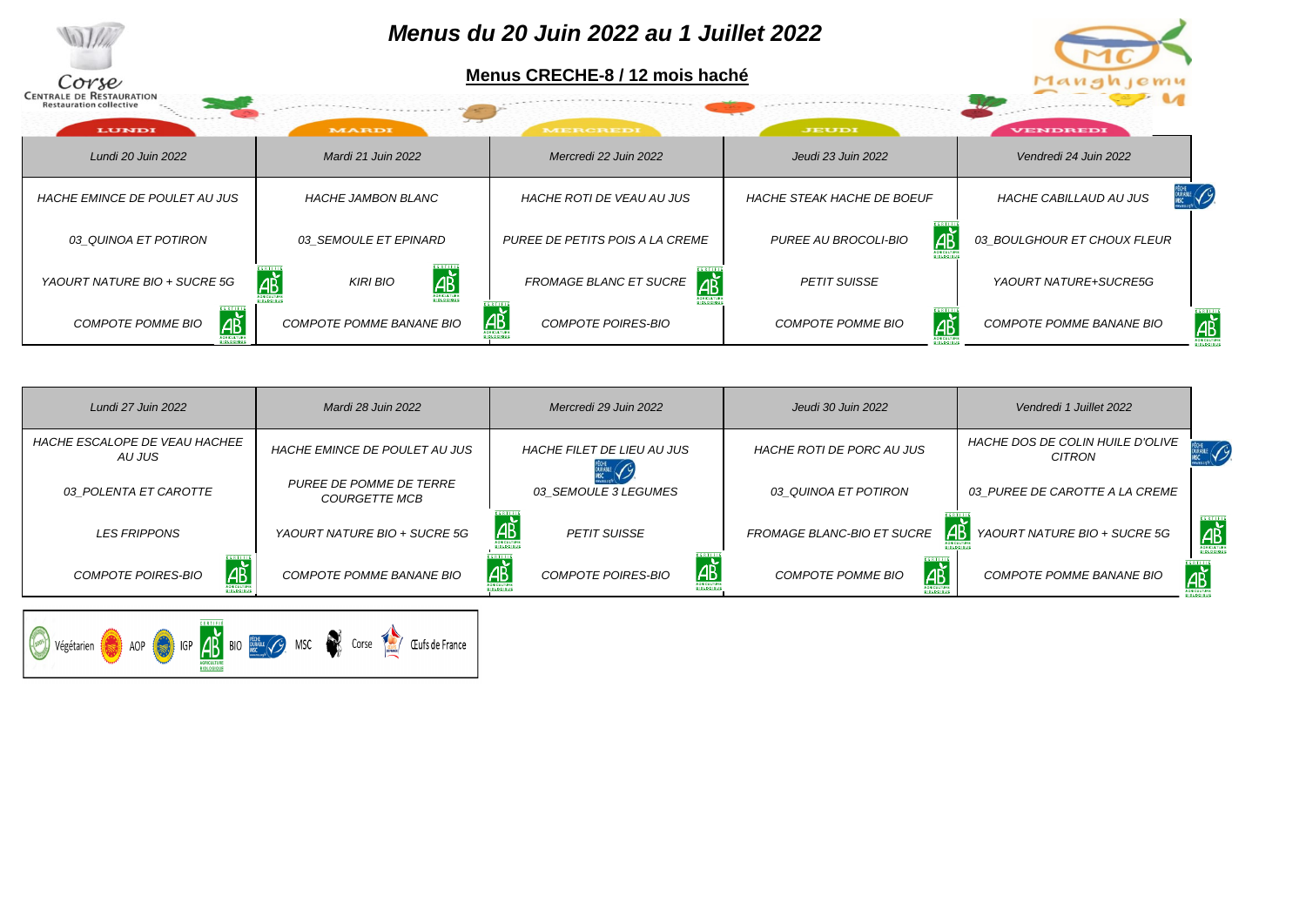

| Lundi 27 Juin 2022                             | Mardi 28 Juin 2022                              | Mercredi 29 Juin 2022                          | Jeudi 30 Juin 2022                        | Vendredi 1 Juillet 2022                    |                         |
|------------------------------------------------|-------------------------------------------------|------------------------------------------------|-------------------------------------------|--------------------------------------------|-------------------------|
| <b>HACHE ESCALOPE DE VEAU HACHEE</b><br>AU JUS | <b>HACHE EMINCE DE POULET AU JUS</b>            | <b>HACHE FILET DE LIEU AU JUS</b>              | <b>HACHE ROTI DE PORC AU JUS</b>          | HACHE DOS DE COLIN HUILE D'OLIVE<br>CITRON |                         |
| 03 POLENTA ET CAROTTE                          | PUREE DE POMME DE TERRE<br><b>COURGETTE MCB</b> | 03 SEMOULE 3 LEGUMES                           | 03 QUINOA ET POTIRON                      | 03 PUREE DE CAROTTE A LA CREME             |                         |
| <b>LES FRIPPONS</b>                            | YAOURT NATURE BIO + SUCRE 5G                    | $\overline{AB}$<br><b>PETIT SUISSE</b>         | <b>1437</b><br>FROMAGE BLANC-BIO ET SUCRE | YAOURT NATURE BIO + SUCRE 5G               | AB<br><b>BIOLDGIQUE</b> |
| АŘ<br><b>COMPOTE POIRES-BIO</b>                | COMPOTE POMME BANANE BIO                        | <u> Æ</u><br>I AB<br><b>COMPOTE POIRES-BIO</b> | AŘ<br><b>COMPOTE POMME BIO</b>            | COMPOTE POMME BANANE BIO                   | АŘ                      |

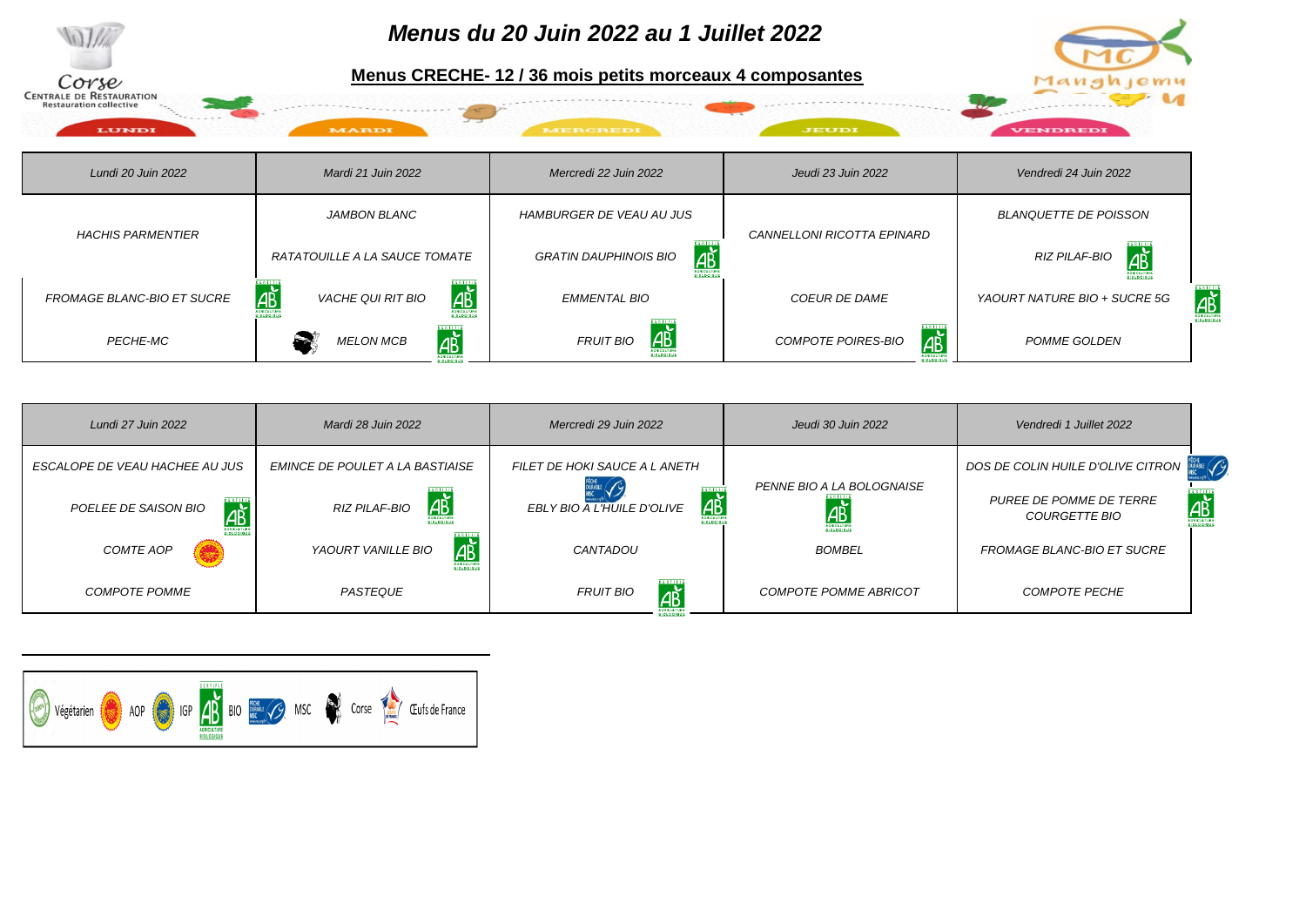

| Lundi 27 Juin 2022                | Mardi 28 Juin 2022              | Mercredi 29 Juin 2022                          | Jeudi 30 Juin 2022                                   | Vendredi 1 Juillet 2022                                                                             |
|-----------------------------------|---------------------------------|------------------------------------------------|------------------------------------------------------|-----------------------------------------------------------------------------------------------------|
| ESCALOPE DE VEAU HACHEE AU JUS    | EMINCE DE POULET A LA BASTIAISE | FILET DE HOKI SAUCE A LANETH                   |                                                      | DOS DE COLIN HUILE D'OLIVE CITRON                                                                   |
| <b>AB</b><br>POELEE DE SAISON BIO | <u>дъ̀</u><br>RIZ PILAF-BIO     | $\underline{AB}$<br>EBLY BIO A L'HUILE D'OLIVE | PENNE BIO A LA BOLOGNAISE<br>$\overline{\mathsf{H}}$ | $\overrightarrow{AB}$<br><b>PUREE DE POMME DE TERRE</b><br><i>COURGETTE BIO</i><br><b>BIDLDGIQU</b> |
| COMTE AOP                         | <u>др</u><br>YAOURT VANILLE BIO | CANTADOU                                       | <b>BOMBEL</b>                                        | <b>FROMAGE BLANC-BIO ET SUCRE</b>                                                                   |
| <b>COMPOTE POMME</b>              | <b>PASTEQUE</b>                 | <b>DERTIFI</b><br><b>FRUIT BIO</b><br>ДÈ       | <b>COMPOTE POMME ABRICOT</b>                         | <b>COMPOTE PECHE</b>                                                                                |